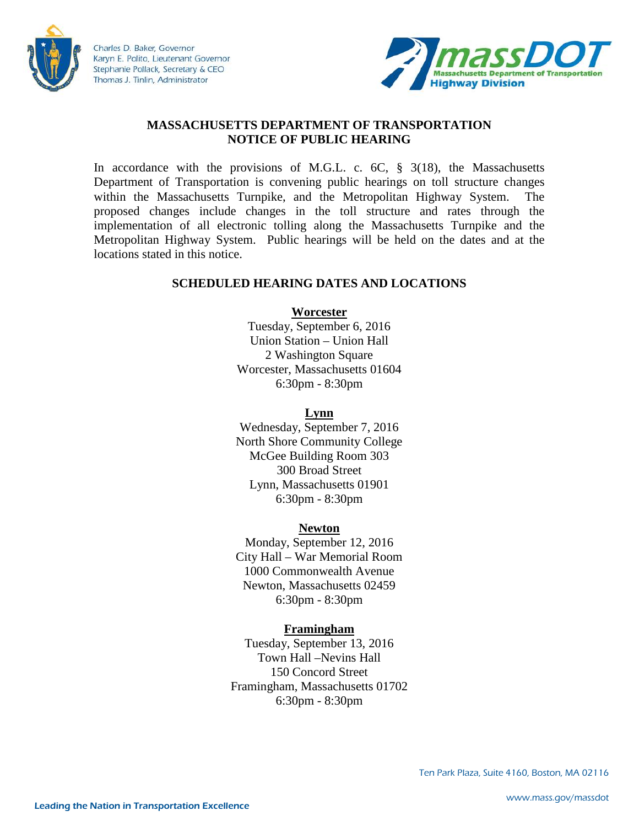

Charles D. Baker, Governor Karyn E. Polito, Lieutenant Governor Stephanie Pollack, Secretary & CEO Thomas J. Tinlin, Administrator



# **MASSACHUSETTS DEPARTMENT OF TRANSPORTATION NOTICE OF PUBLIC HEARING**

In accordance with the provisions of M.G.L. c.  $6C$ ,  $\S$  3(18), the Massachusetts Department of Transportation is convening public hearings on toll structure changes within the Massachusetts Turnpike, and the Metropolitan Highway System. The proposed changes include changes in the toll structure and rates through the implementation of all electronic tolling along the Massachusetts Turnpike and the Metropolitan Highway System. Public hearings will be held on the dates and at the locations stated in this notice.

## **SCHEDULED HEARING DATES AND LOCATIONS**

**Worcester**

Tuesday, September 6, 2016 Union Station – Union Hall 2 Washington Square Worcester, Massachusetts 01604 6:30pm - 8:30pm

#### **Lynn**

Wednesday, September 7, 2016 North Shore Community College McGee Building Room 303 300 Broad Street Lynn, Massachusetts 01901 6:30pm - 8:30pm

## **Newton**

Monday, September 12, 2016 City Hall – War Memorial Room 1000 Commonwealth Avenue Newton, Massachusetts 02459 6:30pm - 8:30pm

## **Framingham**

Tuesday, September 13, 2016 Town Hall –Nevins Hall 150 Concord Street Framingham, Massachusetts 01702 6:30pm - 8:30pm